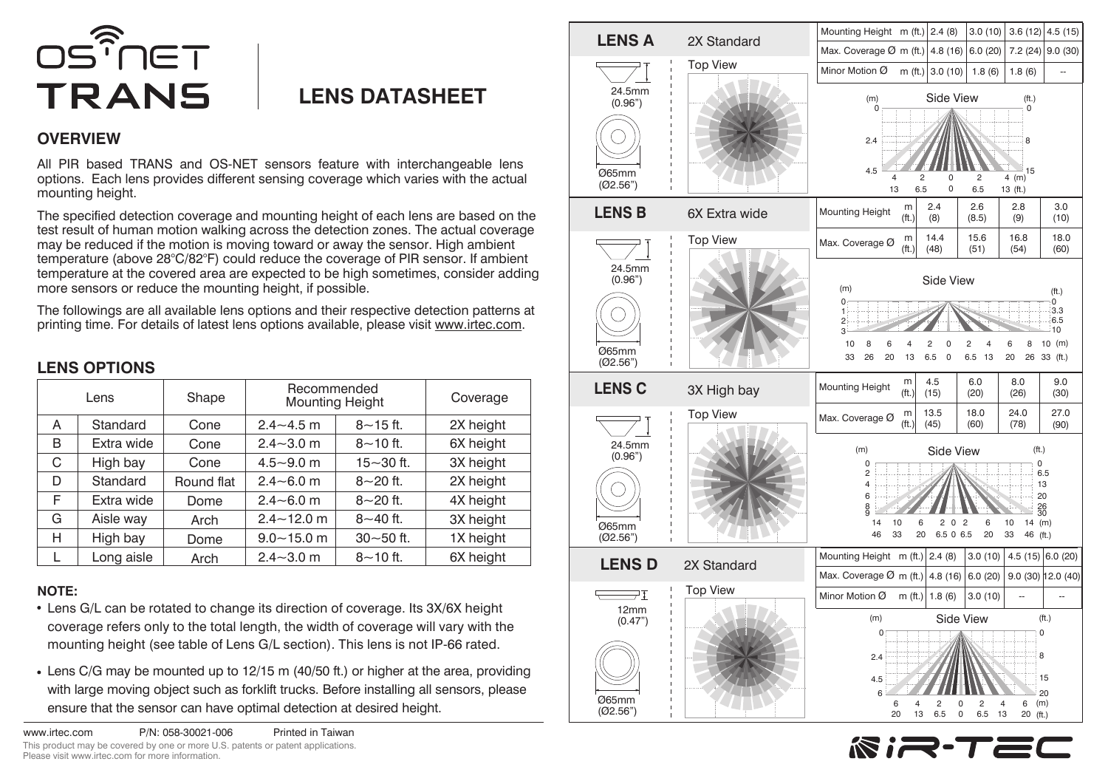

## **LENS DATASHEET**

## **OVERVIEW**

All PIR based TRANS and OS-NET sensors feature with interchangeable lens options. Each lens provides different sensing coverage which varies with the actual mounting height.

The specified detection coverage and mounting height of each lens are based on the test result of human motion walking across the detection zones. The actual coverage may be reduced if the motion is moving toward or away the sensor. High ambient temperature (above 28°C/82°F) could reduce the coverage of PIR sensor. If ambient temperature at the covered area are expected to be high sometimes, consider adding more sensors or reduce the mounting height, if possible.

The followings are all available lens options and their respective detection patterns at printing time. For details of latest lens options available, please visit www.irtec.com.

## **LENS OPTIONS**

| Lens |            | Shape      | Recommended<br><b>Mounting Height</b> |               | Coverage  |
|------|------------|------------|---------------------------------------|---------------|-----------|
| A    | Standard   | Cone       | $2.4 - 4.5$ m                         | $8 - 15$ ft.  | 2X height |
| B    | Extra wide | Cone       | $2.4 - 3.0$ m                         | $8 - 10$ ft.  | 6X height |
| C    | High bay   | Cone       | $4.5 - 9.0$ m                         | $15 - 30$ ft. | 3X height |
| D    | Standard   | Round flat | $2.4 - 6.0$ m                         | $8 - 20$ ft.  | 2X height |
| F    | Extra wide | Dome       | $2.4 - 6.0$ m                         | $8 - 20$ ft.  | 4X height |
| G    | Aisle way  | Arch       | $2.4 - 12.0$ m                        | $8 - 40$ ft.  | 3X height |
| н    | High bay   | Dome       | $9.0 - 15.0$ m                        | $30 - 50$ ft. | 1X height |
|      | Long aisle | Arch       | $2.4 - 3.0$ m                         | $8 - 10$ ft.  | 6X height |

## **NOTE:**

- Lens G/L can be rotated to change its direction of coverage. Its 3X/6X height coverage refers only to the total length, the width of coverage will vary with the mounting height (see table of Lens G/L section). This lens is not IP-66 rated.
- Lens C/G may be mounted up to 12/15 m (40/50 ft.) or higher at the area, providing with large moving object such as forklift trucks. Before installing all sensors, please ensure that the sensor can have optimal detection at desired height.